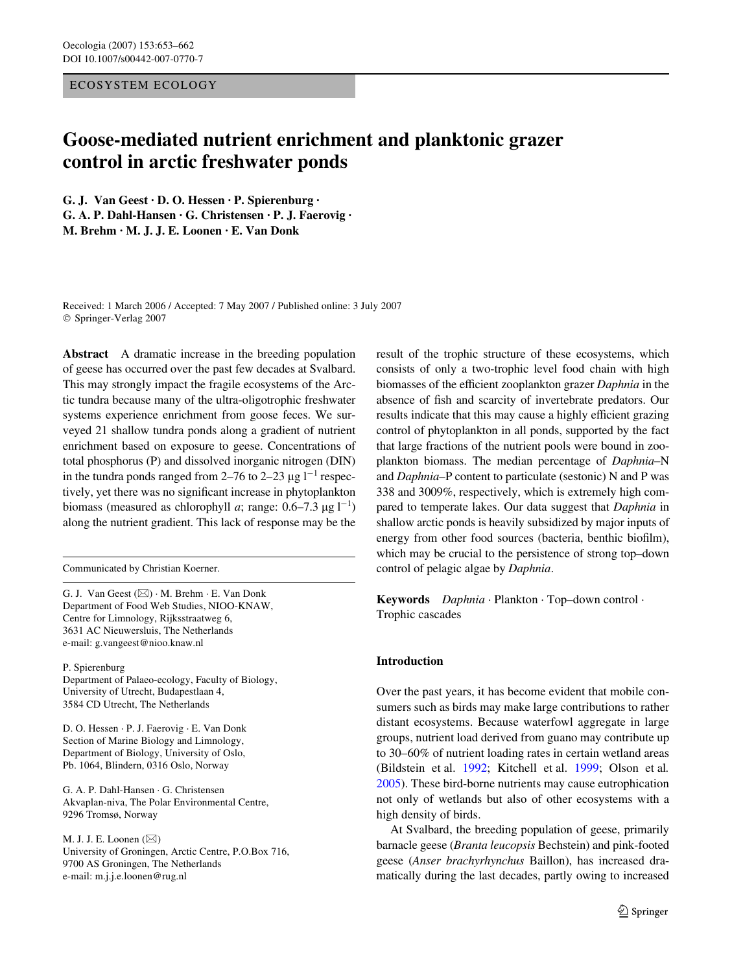## ECOSYSTEM ECOLOGY

# **Goose-mediated nutrient enrichment and planktonic grazer control in arctic freshwater ponds**

**G. J. Van Geest · D. O. Hessen · P. Spierenburg · G. A. P. Dahl-Hansen · G. Christensen · P. J. Faerovig · M. Brehm · M. J. J. E. Loonen · E. Van Donk** 

Received: 1 March 2006 / Accepted: 7 May 2007 / Published online: 3 July 2007 © Springer-Verlag 2007

**Abstract** A dramatic increase in the breeding population of geese has occurred over the past few decades at Svalbard. This may strongly impact the fragile ecosystems of the Arctic tundra because many of the ultra-oligotrophic freshwater systems experience enrichment from goose feces. We surveyed 21 shallow tundra ponds along a gradient of nutrient enrichment based on exposure to geese. Concentrations of total phosphorus (P) and dissolved inorganic nitrogen (DIN) in the tundra ponds ranged from 2–76 to 2–23  $\mu$ g l<sup>-1</sup> respectively, yet there was no significant increase in phytoplankton biomass (measured as chlorophyll *a*; range:  $0.6-7.3 \mu g l^{-1}$ ) along the nutrient gradient. This lack of response may be the

Communicated by Christian Koerner.

G. J. Van Geest  $(\boxtimes) \cdot M$ . Brehm  $\cdot$  E. Van Donk Department of Food Web Studies, NIOO-KNAW, Centre for Limnology, Rijksstraatweg 6, 3631 AC Nieuwersluis, The Netherlands e-mail: g.vangeest@nioo.knaw.nl

P. Spierenburg Department of Palaeo-ecology, Faculty of Biology, University of Utrecht, Budapestlaan 4,

3584 CD Utrecht, The Netherlands D. O. Hessen · P. J. Faerovig · E. Van Donk

Section of Marine Biology and Limnology, Department of Biology, University of Oslo, Pb. 1064, Blindern, 0316 Oslo, Norway

G. A. P. Dahl-Hansen · G. Christensen Akvaplan-niva, The Polar Environmental Centre, 9296 Tromsø, Norway

M. J. J. E. Loonen  $(\boxtimes)$ University of Groningen, Arctic Centre, P.O.Box 716, 9700 AS Groningen, The Netherlands e-mail: m.j.j.e.loonen@rug.nl

result of the trophic structure of these ecosystems, which consists of only a two-trophic level food chain with high biomasses of the efficient zooplankton grazer *Daphnia* in the absence of fish and scarcity of invertebrate predators. Our results indicate that this may cause a highly efficient grazing control of phytoplankton in all ponds, supported by the fact that large fractions of the nutrient pools were bound in zooplankton biomass. The median percentage of *Daphnia*–N and *Daphnia*–P content to particulate (sestonic) N and P was 338 and 3009%, respectively, which is extremely high compared to temperate lakes. Our data suggest that *Daphnia* in shallow arctic ponds is heavily subsidized by major inputs of energy from other food sources (bacteria, benthic biofilm), which may be crucial to the persistence of strong top–down control of pelagic algae by *Daphnia*.

**Keywords** *Daphnia* · Plankton · Top–down control · Trophic cascades

## **Introduction**

Over the past years, it has become evident that mobile consumers such as birds may make large contributions to rather distant ecosystems. Because waterfowl aggregate in large groups, nutrient load derived from guano may contribute up to 30–60% of nutrient loading rates in certain wetland areas (Bildstein et al. [1992](#page-8-0); Kitchell et al. [1999](#page-9-0); Olson et al*.* [2005](#page-9-1)). These bird-borne nutrients may cause eutrophication not only of wetlands but also of other ecosystems with a high density of birds.

At Svalbard, the breeding population of geese, primarily barnacle geese (*Branta leucopsis* Bechstein) and pink-footed geese (*Anser brachyrhynchus* Baillon), has increased dramatically during the last decades, partly owing to increased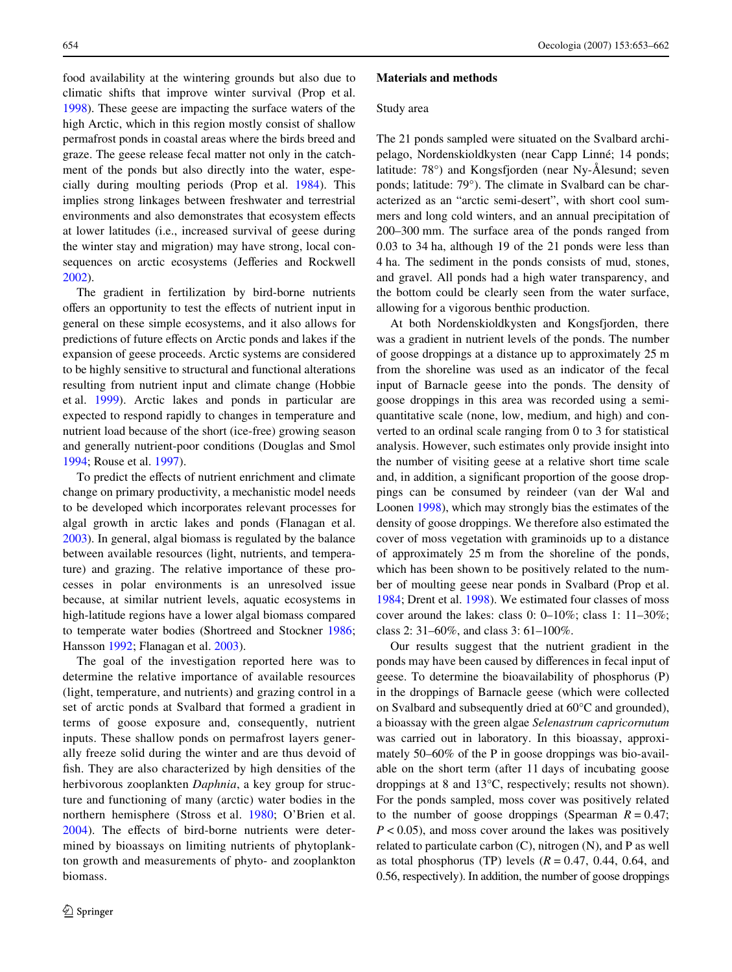food availability at the wintering grounds but also due to climatic shifts that improve winter survival (Prop et al. [1998](#page-9-2)). These geese are impacting the surface waters of the high Arctic, which in this region mostly consist of shallow permafrost ponds in coastal areas where the birds breed and graze. The geese release fecal matter not only in the catchment of the ponds but also directly into the water, especially during moulting periods (Prop et al. [1984](#page-9-3)). This implies strong linkages between freshwater and terrestrial environments and also demonstrates that ecosystem effects at lower latitudes (i.e., increased survival of geese during the winter stay and migration) may have strong, local consequences on arctic ecosystems (Jefferies and Rockwell [2002](#page-9-4)).

The gradient in fertilization by bird-borne nutrients offers an opportunity to test the effects of nutrient input in general on these simple ecosystems, and it also allows for predictions of future effects on Arctic ponds and lakes if the expansion of geese proceeds. Arctic systems are considered to be highly sensitive to structural and functional alterations resulting from nutrient input and climate change (Hobbie et al. [1999\)](#page-9-5). Arctic lakes and ponds in particular are expected to respond rapidly to changes in temperature and nutrient load because of the short (ice-free) growing season and generally nutrient-poor conditions (Douglas and Smol [1994](#page-8-1); Rouse et al. [1997\)](#page-9-6).

To predict the effects of nutrient enrichment and climate change on primary productivity, a mechanistic model needs to be developed which incorporates relevant processes for algal growth in arctic lakes and ponds (Flanagan et al. [2003](#page-9-7)). In general, algal biomass is regulated by the balance between available resources (light, nutrients, and temperature) and grazing. The relative importance of these processes in polar environments is an unresolved issue because, at similar nutrient levels, aquatic ecosystems in high-latitude regions have a lower algal biomass compared to temperate water bodies (Shortreed and Stockner [1986](#page-9-8); Hansson [1992;](#page-9-9) Flanagan et al. [2003](#page-9-7)).

The goal of the investigation reported here was to determine the relative importance of available resources (light, temperature, and nutrients) and grazing control in a set of arctic ponds at Svalbard that formed a gradient in terms of goose exposure and, consequently, nutrient inputs. These shallow ponds on permafrost layers generally freeze solid during the winter and are thus devoid of fish. They are also characterized by high densities of the herbivorous zooplankten *Daphnia*, a key group for structure and functioning of many (arctic) water bodies in the northern hemisphere (Stross et al. [1980](#page-9-10); O'Brien et al.  $2004$ ). The effects of bird-borne nutrients were determined by bioassays on limiting nutrients of phytoplankton growth and measurements of phyto- and zooplankton biomass.

#### **Materials and methods**

#### Study area

The 21 ponds sampled were situated on the Svalbard archipelago, Nordenskioldkysten (near Capp Linné; 14 ponds; latitude: 78°) and Kongsfjorden (near Ny-Ålesund; seven ponds; latitude: 79°). The climate in Svalbard can be characterized as an "arctic semi-desert", with short cool summers and long cold winters, and an annual precipitation of 200–300 mm. The surface area of the ponds ranged from 0.03 to 34 ha, although 19 of the 21 ponds were less than 4 ha. The sediment in the ponds consists of mud, stones, and gravel. All ponds had a high water transparency, and the bottom could be clearly seen from the water surface, allowing for a vigorous benthic production.

At both Nordenskioldkysten and Kongsfjorden, there was a gradient in nutrient levels of the ponds. The number of goose droppings at a distance up to approximately 25 m from the shoreline was used as an indicator of the fecal input of Barnacle geese into the ponds. The density of goose droppings in this area was recorded using a semiquantitative scale (none, low, medium, and high) and converted to an ordinal scale ranging from 0 to 3 for statistical analysis. However, such estimates only provide insight into the number of visiting geese at a relative short time scale and, in addition, a significant proportion of the goose droppings can be consumed by reindeer (van der Wal and Loonen [1998](#page-9-12)), which may strongly bias the estimates of the density of goose droppings. We therefore also estimated the cover of moss vegetation with graminoids up to a distance of approximately 25 m from the shoreline of the ponds, which has been shown to be positively related to the number of moulting geese near ponds in Svalbard (Prop et al. [1984](#page-9-3); Drent et al. [1998\)](#page-8-2). We estimated four classes of moss cover around the lakes: class 0: 0–10%; class 1: 11–30%; class 2: 31–60%, and class 3: 61–100%.

Our results suggest that the nutrient gradient in the ponds may have been caused by differences in fecal input of geese. To determine the bioavailability of phosphorus (P) in the droppings of Barnacle geese (which were collected on Svalbard and subsequently dried at 60°C and grounded), a bioassay with the green algae *Selenastrum capricornutum* was carried out in laboratory. In this bioassay, approximately 50–60% of the P in goose droppings was bio-available on the short term (after 11 days of incubating goose droppings at 8 and 13°C, respectively; results not shown). For the ponds sampled, moss cover was positively related to the number of goose droppings (Spearman  $R = 0.47$ ; *P* < 0.05), and moss cover around the lakes was positively related to particulate carbon (C), nitrogen (N), and P as well as total phosphorus (TP) levels  $(R = 0.47, 0.44, 0.64,$  and 0.56, respectively). In addition, the number of goose droppings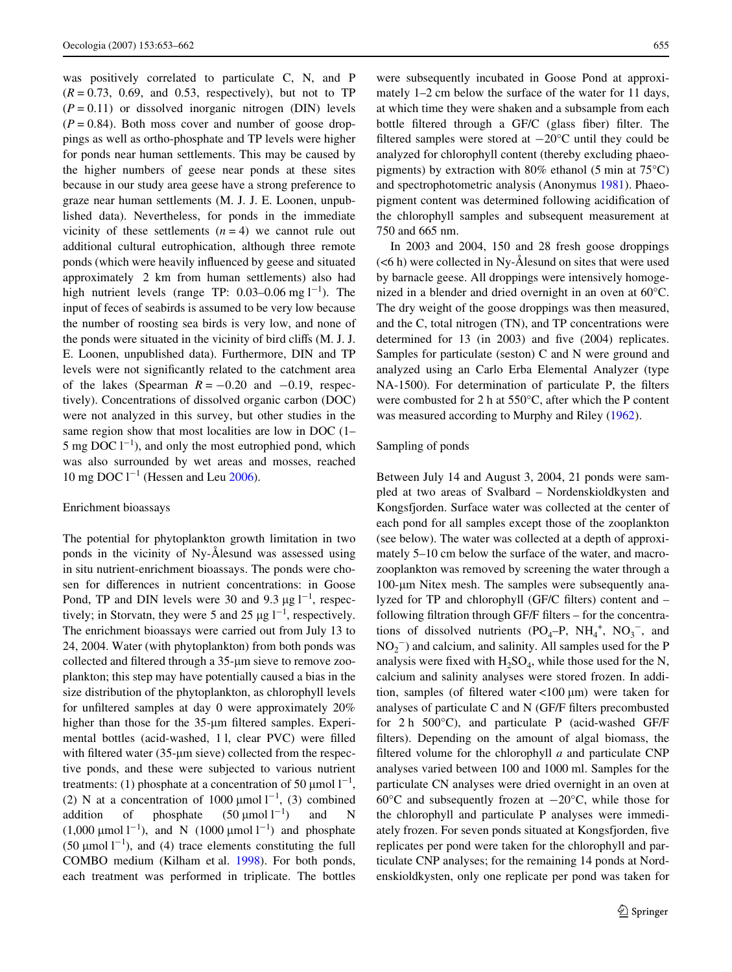was positively correlated to particulate C, N, and P  $(R = 0.73, 0.69,$  and 0.53, respectively), but not to TP  $(P = 0.11)$  or dissolved inorganic nitrogen (DIN) levels  $(P = 0.84)$ . Both moss cover and number of goose droppings as well as ortho-phosphate and TP levels were higher for ponds near human settlements. This may be caused by the higher numbers of geese near ponds at these sites because in our study area geese have a strong preference to graze near human settlements (M. J. J. E. Loonen, unpublished data). Nevertheless, for ponds in the immediate vicinity of these settlements  $(n = 4)$  we cannot rule out additional cultural eutrophication, although three remote ponds (which were heavily influenced by geese and situated approximately 2 km from human settlements) also had high nutrient levels (range TP:  $0.03-0.06$  mg  $1^{-1}$ ). The input of feces of seabirds is assumed to be very low because the number of roosting sea birds is very low, and none of the ponds were situated in the vicinity of bird cliffs (M. J. J. E. Loonen, unpublished data). Furthermore, DIN and TP levels were not significantly related to the catchment area of the lakes (Spearman  $R = -0.20$  and  $-0.19$ , respectively). Concentrations of dissolved organic carbon (DOC) were not analyzed in this survey, but other studies in the same region show that most localities are low in DOC (1– 5 mg DOC  $1^{-1}$ ), and only the most eutrophied pond, which was also surrounded by wet areas and mosses, reached 10 mg DOC  $l^{-1}$  (Hessen and Leu [2006](#page-9-13)).

#### Enrichment bioassays

The potential for phytoplankton growth limitation in two ponds in the vicinity of Ny-Ålesund was assessed using in situ nutrient-enrichment bioassays. The ponds were chosen for differences in nutrient concentrations: in Goose Pond, TP and DIN levels were 30 and 9.3  $\mu$ g l<sup>-1</sup>, respectively; in Storvatn, they were 5 and 25  $\mu$ g l<sup>-1</sup>, respectively. The enrichment bioassays were carried out from July 13 to 24, 2004. Water (with phytoplankton) from both ponds was collected and filtered through a 35-um sieve to remove zooplankton; this step may have potentially caused a bias in the size distribution of the phytoplankton, as chlorophyll levels for unfiltered samples at day 0 were approximately  $20\%$ higher than those for the 35-µm filtered samples. Experimental bottles (acid-washed, 11, clear PVC) were filled with filtered water (35- $\mu$ m sieve) collected from the respective ponds, and these were subjected to various nutrient treatments: (1) phosphate at a concentration of 50  $\mu$ mol  $1^{-1}$ , (2) N at a concentration of 1000  $\mu$ mol l<sup>-1</sup>, (3) combined addition of phosphate  $(50 \text{ \mu mol } l^{-1})$ ) and N  $(1,000 \text{ }\mu\text{mol}\text{ }1^{-1})$ , and N  $(1000 \text{ }\mu\text{mol}\text{ }1^{-1})$  and phosphate (50  $\mu$ mol l<sup>-1</sup>), and (4) trace elements constituting the full COMBO medium (Kilham et al. [1998\)](#page-9-14). For both ponds, each treatment was performed in triplicate. The bottles were subsequently incubated in Goose Pond at approximately 1–2 cm below the surface of the water for 11 days, at which time they were shaken and a subsample from each bottle filtered through a GF/C (glass fiber) filter. The filtered samples were stored at  $-20^{\circ}$ C until they could be analyzed for chlorophyll content (thereby excluding phaeopigments) by extraction with 80% ethanol (5 min at  $75^{\circ}$ C) and spectrophotometric analysis (Anonymus [1981](#page-8-3)). Phaeopigment content was determined following acidification of the chlorophyll samples and subsequent measurement at 750 and 665 nm.

In 2003 and 2004, 150 and 28 fresh goose droppings (<6 h) were collected in Ny-Ålesund on sites that were used by barnacle geese. All droppings were intensively homogenized in a blender and dried overnight in an oven at 60°C. The dry weight of the goose droppings was then measured, and the C, total nitrogen (TN), and TP concentrations were determined for  $13$  (in 2003) and five (2004) replicates. Samples for particulate (seston) C and N were ground and analyzed using an Carlo Erba Elemental Analyzer (type NA-1500). For determination of particulate P, the filters were combusted for 2 h at 550°C, after which the P content was measured according to Murphy and Riley [\(1962](#page-9-15)).

#### Sampling of ponds

Between July 14 and August 3, 2004, 21 ponds were sampled at two areas of Svalbard – Nordenskioldkysten and Kongsfjorden. Surface water was collected at the center of each pond for all samples except those of the zooplankton (see below). The water was collected at a depth of approximately 5–10 cm below the surface of the water, and macrozooplankton was removed by screening the water through a 100-μm Nitex mesh. The samples were subsequently analyzed for TP and chlorophyll (GF/C filters) content and – following filtration through GF/F filters – for the concentrations of dissolved nutrients  $(PO_4-P, NH_4^+, NO_3^-, and)$  $NO<sub>2</sub><sup>-</sup>$ ) and calcium, and salinity. All samples used for the P analysis were fixed with  $H_2SO_4$ , while those used for the N, calcium and salinity analyses were stored frozen. In addition, samples (of filtered water <100  $\mu$ m) were taken for analyses of particulate  $C$  and  $N$  (GF/F filters precombusted for 2 h 500°C), and particulate P (acid-washed GF/F filters). Depending on the amount of algal biomass, the filtered volume for the chlorophyll  $a$  and particulate CNP analyses varied between 100 and 1000 ml. Samples for the particulate CN analyses were dried overnight in an oven at 60 $\degree$ C and subsequently frozen at  $-20\degree$ C, while those for the chlorophyll and particulate P analyses were immediately frozen. For seven ponds situated at Kongsfjorden, five replicates per pond were taken for the chlorophyll and particulate CNP analyses; for the remaining 14 ponds at Nordenskioldkysten, only one replicate per pond was taken for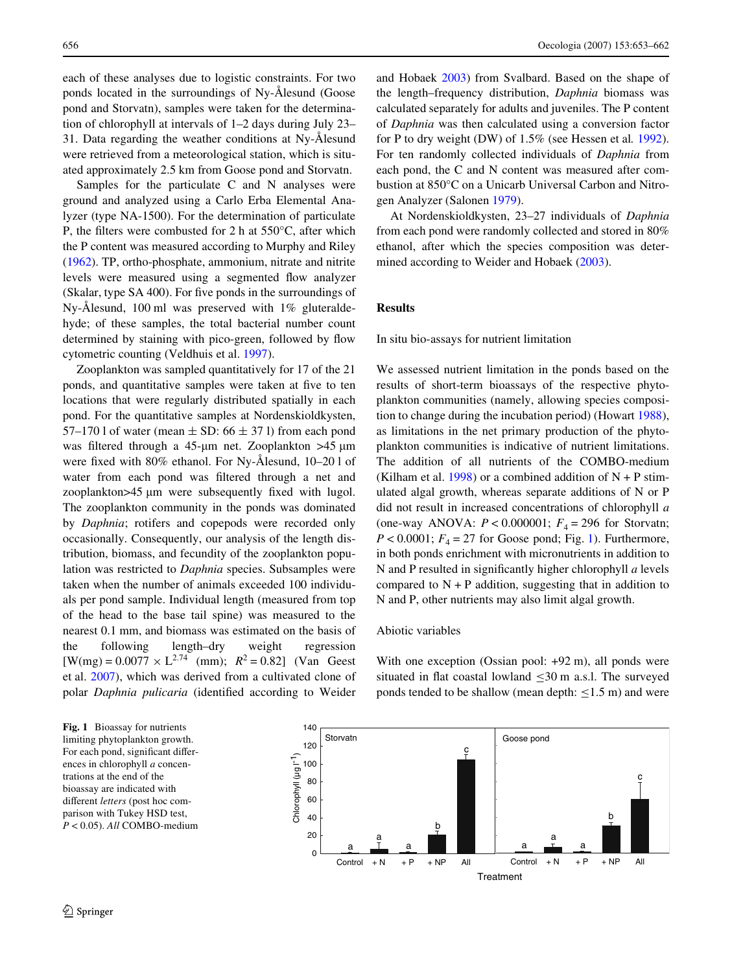each of these analyses due to logistic constraints. For two ponds located in the surroundings of Ny-Ålesund (Goose pond and Storvatn), samples were taken for the determination of chlorophyll at intervals of 1–2 days during July 23– 31. Data regarding the weather conditions at Ny-Ålesund were retrieved from a meteorological station, which is situated approximately 2.5 km from Goose pond and Storvatn.

Samples for the particulate C and N analyses were ground and analyzed using a Carlo Erba Elemental Analyzer (type NA-1500). For the determination of particulate P, the filters were combusted for 2 h at  $550^{\circ}$ C, after which the P content was measured according to Murphy and Riley [\(1962](#page-9-15)). TP, ortho-phosphate, ammonium, nitrate and nitrite levels were measured using a segmented flow analyzer (Skalar, type  $SA\,400$ ). For five ponds in the surroundings of Ny-Ålesund, 100 ml was preserved with 1% gluteraldehyde; of these samples, the total bacterial number count determined by staining with pico-green, followed by flow cytometric counting (Veldhuis et al. [1997\)](#page-9-16).

Zooplankton was sampled quantitatively for 17 of the 21 ponds, and quantitative samples were taken at five to ten locations that were regularly distributed spatially in each pond. For the quantitative samples at Nordenskioldkysten, 57–170 l of water (mean  $\pm$  SD: 66  $\pm$  37 l) from each pond was filtered through a 45-um net. Zooplankton  $>45$  um were fixed with  $80\%$  ethanol. For Ny-Ålesund,  $10-201$  of water from each pond was filtered through a net and  $z$ ooplankton $>45$  µm were subsequently fixed with lugol. The zooplankton community in the ponds was dominated by *Daphnia*; rotifers and copepods were recorded only occasionally. Consequently, our analysis of the length distribution, biomass, and fecundity of the zooplankton population was restricted to *Daphnia* species. Subsamples were taken when the number of animals exceeded 100 individuals per pond sample. Individual length (measured from top of the head to the base tail spine) was measured to the nearest 0.1 mm, and biomass was estimated on the basis of the following length–dry weight regression  $[W(mg) = 0.0077 \times L^{2.74}$  (mm);  $R^2 = 0.82$  (Van Geest et al. [2007\)](#page-9-17), which was derived from a cultivated clone of polar *Daphnia pulicaria* (identified according to Weider and Hobaek [2003](#page-9-18)) from Svalbard. Based on the shape of the length–frequency distribution, *Daphnia* biomass was calculated separately for adults and juveniles. The P content of *Daphnia* was then calculated using a conversion factor for P to dry weight (DW) of 1.5% (see Hessen et al*.* [1992\)](#page-9-19). For ten randomly collected individuals of *Daphnia* from each pond, the C and N content was measured after combustion at 850°C on a Unicarb Universal Carbon and Nitrogen Analyzer (Salonen [1979](#page-9-20)).

At Nordenskioldkysten, 23–27 individuals of *Daphnia* from each pond were randomly collected and stored in 80% ethanol, after which the species composition was determined according to Weider and Hobaek ([2003\)](#page-9-18).

# **Results**

In situ bio-assays for nutrient limitation

We assessed nutrient limitation in the ponds based on the results of short-term bioassays of the respective phytoplankton communities (namely, allowing species composition to change during the incubation period) (Howart [1988\)](#page-9-21), as limitations in the net primary production of the phytoplankton communities is indicative of nutrient limitations. The addition of all nutrients of the COMBO-medium (Kilham et al. [1998](#page-9-14)) or a combined addition of  $N + P$  stimulated algal growth, whereas separate additions of N or P did not result in increased concentrations of chlorophyll *a* (one-way ANOVA:  $P < 0.000001$ ;  $F<sub>4</sub> = 296$  for Storvatn;  $P < 0.0001$ ;  $F_4 = 27$  for Goose pond; Fig. [1\)](#page-3-0). Furthermore, in both ponds enrichment with micronutrients in addition to N and P resulted in significantly higher chlorophyll *a* levels compared to  $N + P$  addition, suggesting that in addition to N and P, other nutrients may also limit algal growth.

#### Abiotic variables

With one exception (Ossian pool:  $+92$  m), all ponds were situated in flat coastal lowland  $\leq 30$  m a.s.l. The surveyed ponds tended to be shallow (mean depth:  $\leq$ 1.5 m) and were

<span id="page-3-0"></span>

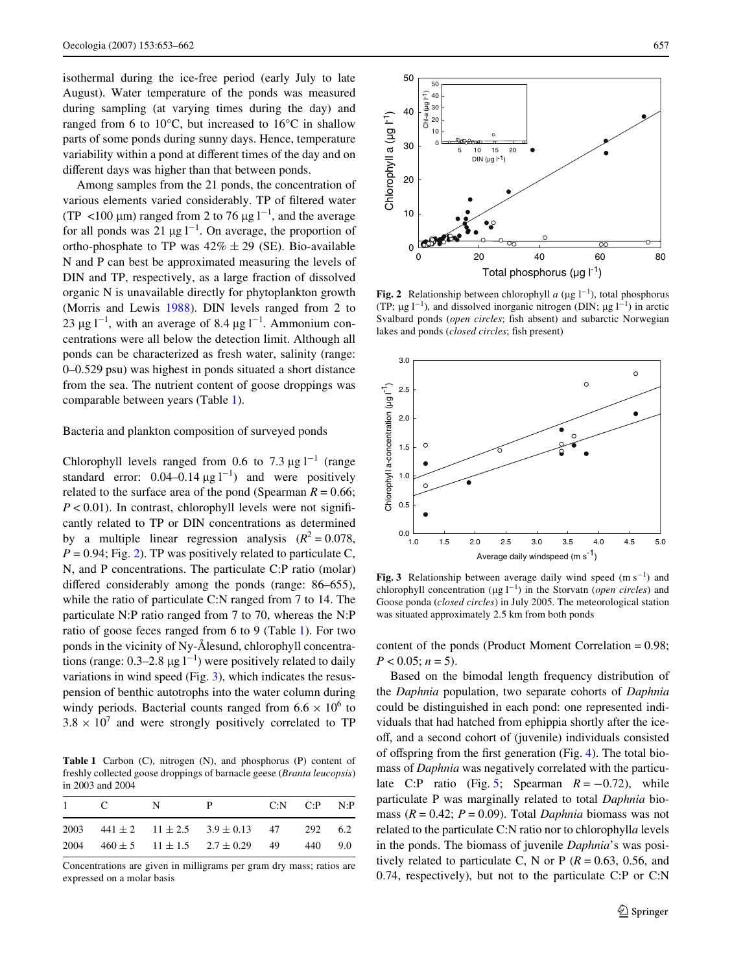isothermal during the ice-free period (early July to late August). Water temperature of the ponds was measured during sampling (at varying times during the day) and ranged from 6 to 10°C, but increased to 16°C in shallow parts of some ponds during sunny days. Hence, temperature variability within a pond at different times of the day and on different days was higher than that between ponds.

Among samples from the 21 ponds, the concentration of various elements varied considerably. TP of filtered water (TP <100  $\mu$ m) ranged from 2 to 76  $\mu$ g l<sup>-1</sup>, and the average for all ponds was 21  $\mu$ g l<sup>-1</sup>. On average, the proportion of ortho-phosphate to TP was  $42\% \pm 29$  (SE). Bio-available N and P can best be approximated measuring the levels of DIN and TP, respectively, as a large fraction of dissolved organic N is unavailable directly for phytoplankton growth (Morris and Lewis [1988\)](#page-9-22). DIN levels ranged from 2 to 23  $\mu$ g l<sup>-1</sup>, with an average of 8.4  $\mu$ g l<sup>-1</sup>. Ammonium concentrations were all below the detection limit. Although all ponds can be characterized as fresh water, salinity (range: 0–0.529 psu) was highest in ponds situated a short distance from the sea. The nutrient content of goose droppings was comparable between years (Table [1](#page-4-0)).

## Bacteria and plankton composition of surveyed ponds

Chlorophyll levels ranged from 0.6 to 7.3  $\mu$ g l<sup>-1</sup> (range standard error:  $0.04-0.14 \mu g l^{-1}$  and were positively related to the surface area of the pond (Spearman  $R = 0.66$ ;  $P < 0.01$ ). In contrast, chlorophyll levels were not significantly related to TP or DIN concentrations as determined by a multiple linear regression analysis  $(R^2 = 0.078$ ,  $P = 0.94$ ; Fig. [2\)](#page-4-1). TP was positively related to particulate C, N, and P concentrations. The particulate C:P ratio (molar) differed considerably among the ponds (range:  $86-655$ ), while the ratio of particulate C:N ranged from 7 to 14. The particulate N:P ratio ranged from 7 to 70, whereas the N:P ratio of goose feces ranged from 6 to 9 (Table [1](#page-4-0)). For two ponds in the vicinity of Ny-Ålesund, chlorophyll concentrations (range:  $0.3-2.8 \mu g l^{-1}$ ) were positively related to daily variations in wind speed (Fig. [3](#page-4-2)), which indicates the resuspension of benthic autotrophs into the water column during windy periods. Bacterial counts ranged from  $6.6 \times 10^6$  to  $3.8 \times 10^7$  and were strongly positively correlated to TP

<span id="page-4-0"></span>**Table 1** Carbon (C), nitrogen (N), and phosphorus (P) content of freshly collected goose droppings of barnacle geese (*Branta leucopsis*) in 2003 and 2004

| $1 \quad C \quad N$ | - P                                                         | $C:N$ $C:P$ $N:P$ |  |
|---------------------|-------------------------------------------------------------|-------------------|--|
|                     | 2003 $441 \pm 2$ $11 \pm 2.5$ $3.9 \pm 0.13$ $47$ $292$ 6.2 |                   |  |
|                     | 2004 $460 \pm 5$ $11 \pm 1.5$ $2.7 \pm 0.29$ 49 440 9.0     |                   |  |

Concentrations are given in milligrams per gram dry mass; ratios are expressed on a molar basis



<span id="page-4-1"></span>**Fig. 2** Relationship between chlorophyll  $a$  ( $\mu$ g l<sup>-1</sup>), total phosphorus (TP;  $\mu$ g l<sup>-1</sup>), and dissolved inorganic nitrogen (DIN;  $\mu$ g l<sup>-1</sup>) in arctic Svalbard ponds (*open circles*; fish absent) and subarctic Norwegian lakes and ponds (*closed circles*; fish present)



<span id="page-4-2"></span>Fig. 3 Relationship between average daily wind speed  $(m s<sup>-1</sup>)$  and chlorophyll concentration  $(\mu g I^{-1})$  in the Storvatn (*open circles*) and Goose ponda (*closed circles*) in July 2005. The meteorological station was situated approximately 2.5 km from both ponds

content of the ponds (Product Moment Correlation = 0.98;  $P < 0.05$ ;  $n = 5$ ).

Based on the bimodal length frequency distribution of the *Daphnia* population, two separate cohorts of *Daphnia* could be distinguished in each pond: one represented individuals that had hatched from ephippia shortly after the iceoff, and a second cohort of (juvenile) individuals consisted of offspring from the first generation (Fig. [4](#page-5-0)). The total biomass of *Daphnia* was negatively correlated with the particu-late C:P ratio (Fig. [5](#page-5-1); Spearman  $R = -0.72$ ), while particulate P was marginally related to total *Daphnia* biomass  $(R = 0.42; P = 0.09)$ . Total *Daphnia* biomass was not related to the particulate C:N ratio nor to chlorophyll*a* levels in the ponds. The biomass of juvenile *Daphnia*'s was positively related to particulate C, N or P  $(R = 0.63, 0.56,$  and 0.74, respectively), but not to the particulate C:P or C:N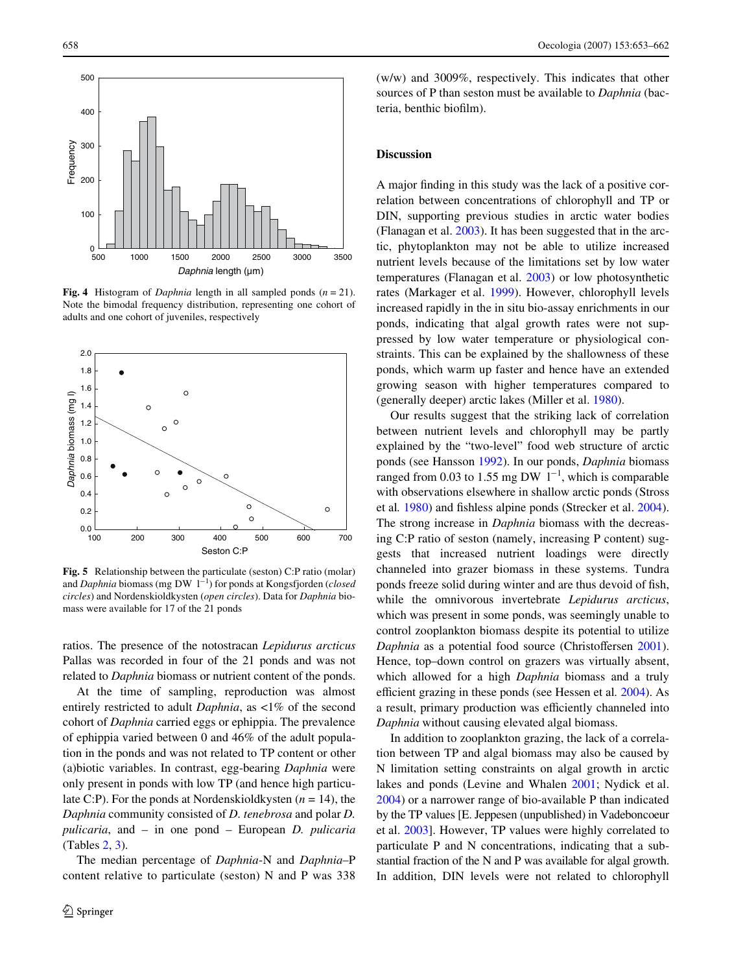

<span id="page-5-0"></span>**Fig. 4** Histogram of *Daphnia* length in all sampled ponds (*n* = 21). Note the bimodal frequency distribution, representing one cohort of adults and one cohort of juveniles, respectively



<span id="page-5-1"></span>**Fig. 5** Relationship between the particulate (seston) C:P ratio (molar) and *Daphnia* biomass (mg DW 1<sup>-1</sup>) for ponds at Kongsfjorden (*closed circles*) and Nordenskioldkysten (*open circles*). Data for *Daphnia* biomass were available for 17 of the 21 ponds

ratios. The presence of the notostracan *Lepidurus arcticus* Pallas was recorded in four of the 21 ponds and was not related to *Daphnia* biomass or nutrient content of the ponds.

At the time of sampling, reproduction was almost entirely restricted to adult *Daphnia*, as <1% of the second cohort of *Daphnia* carried eggs or ephippia. The prevalence of ephippia varied between 0 and 46% of the adult population in the ponds and was not related to TP content or other (a)biotic variables. In contrast, egg-bearing *Daphnia* were only present in ponds with low TP (and hence high particulate C:P). For the ponds at Nordenskioldkysten (*n* = 14), the *Daphnia* community consisted of *D. tenebrosa* and polar *D. pulicaria*, and – in one pond – European *D. pulicaria* (Tables [2,](#page-6-0) [3\)](#page-7-0).

The median percentage of *Daphnia*-N and *Daphnia*–P content relative to particulate (seston) N and P was 338 (w/w) and 3009%, respectively. This indicates that other sources of P than seston must be available to *Daphnia* (bacteria, benthic biofilm).

## **Discussion**

A major finding in this study was the lack of a positive correlation between concentrations of chlorophyll and TP or DIN, supporting previous studies in arctic water bodies (Flanagan et al. [2003\)](#page-9-7). It has been suggested that in the arctic, phytoplankton may not be able to utilize increased nutrient levels because of the limitations set by low water temperatures (Flanagan et al. [2003](#page-9-7)) or low photosynthetic rates (Markager et al. [1999](#page-9-23)). However, chlorophyll levels increased rapidly in the in situ bio-assay enrichments in our ponds, indicating that algal growth rates were not suppressed by low water temperature or physiological constraints. This can be explained by the shallowness of these ponds, which warm up faster and hence have an extended growing season with higher temperatures compared to (generally deeper) arctic lakes (Miller et al. [1980](#page-9-24)).

Our results suggest that the striking lack of correlation between nutrient levels and chlorophyll may be partly explained by the "two-level" food web structure of arctic ponds (see Hansson [1992\)](#page-9-9). In our ponds, *Daphnia* biomass ranged from 0.03 to 1.55 mg DW  $1^{-1}$ , which is comparable with observations elsewhere in shallow arctic ponds (Stross et al. [1980](#page-9-10)) and fishless alpine ponds (Strecker et al. [2004\)](#page-9-25). The strong increase in *Daphnia* biomass with the decreasing C:P ratio of seston (namely, increasing P content) suggests that increased nutrient loadings were directly channeled into grazer biomass in these systems. Tundra ponds freeze solid during winter and are thus devoid of fish, while the omnivorous invertebrate *Lepidurus arcticus*, which was present in some ponds, was seemingly unable to control zooplankton biomass despite its potential to utilize *Daphnia* as a potential food source (Christoffersen [2001\)](#page-8-4). Hence, top–down control on grazers was virtually absent, which allowed for a high *Daphnia* biomass and a truly efficient grazing in these ponds (see Hessen et al. [2004\)](#page-9-26). As a result, primary production was efficiently channeled into *Daphnia* without causing elevated algal biomass.

In addition to zooplankton grazing, the lack of a correlation between TP and algal biomass may also be caused by N limitation setting constraints on algal growth in arctic lakes and ponds (Levine and Whalen [2001;](#page-9-27) Nydick et al. [2004](#page-9-28)) or a narrower range of bio-available P than indicated by the TP values [E. Jeppesen (unpublished) in Vadeboncoeur et al. [2003\]](#page-9-29). However, TP values were highly correlated to particulate P and N concentrations, indicating that a substantial fraction of the N and P was available for algal growth. In addition, DIN levels were not related to chlorophyll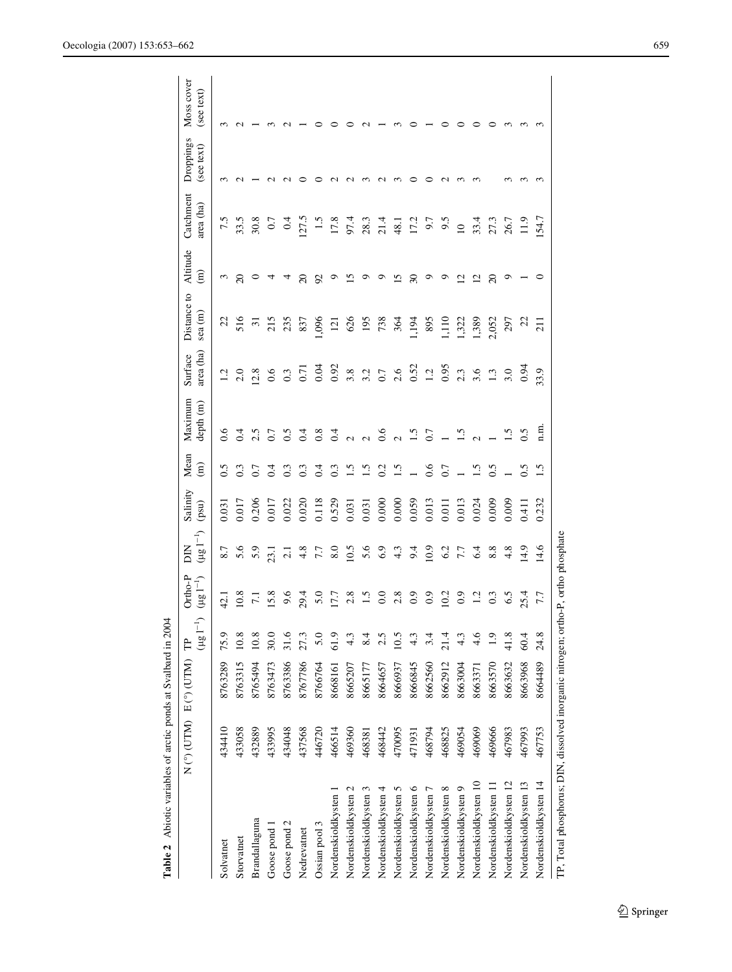<span id="page-6-0"></span>

| Table 2 Abiotic variables of arctic ponds at Svalbard in 2004                     |        |                             |                        |                                  |                           |                            |                          |                      |                      |                       |                             |                        |                         |                          |
|-----------------------------------------------------------------------------------|--------|-----------------------------|------------------------|----------------------------------|---------------------------|----------------------------|--------------------------|----------------------|----------------------|-----------------------|-----------------------------|------------------------|-------------------------|--------------------------|
|                                                                                   |        | $N$ (*) (UTM) $E$ (*) (UTM) | $(\mu g\,I^{-1})$<br>Ê | $Ortho-P$<br>$(\mu g \; I^{-1})$ | $(\mu g \; I^{-1})$<br>ΣD | Salinity<br>$(\text{psu})$ | Mean<br>$\widehat{E}$    | Maximum<br>depth (m) | area (ha)<br>Surface | Distance to<br>sea(m) | Altitude<br>$\widehat{\Xi}$ | Catchment<br>area (ha) | Droppings<br>(see text) | Moss cover<br>(see text) |
| Solvatnet                                                                         | 434410 | 8763289                     | 75.9                   | 42.1                             | 8.7                       | 0.031                      | $\widetilde{\mathbf{C}}$ | 0.6                  | 1.2                  | 22                    | $\epsilon$                  | 7.5                    | ç                       | $\sim$                   |
| Storvatnet                                                                        | 433058 | 8763315                     | 10.8                   | 10.8                             | 5.6                       | 0.017                      | 0.3                      | 0.4                  | 2.0                  | 516                   | $\overline{c}$              | 33.5                   |                         |                          |
| Brandallaguna                                                                     | 432889 | 8765494                     | 10.8                   | $\overline{71}$                  | 5.9                       | 0.206                      | 0.7                      | 2.5                  | 12.8                 | $\overline{31}$       | $\circ$                     | 30.8                   |                         |                          |
| Goose pond 1                                                                      | 433995 | 8763473                     | 30.0                   | <b>S.S.</b>                      | 23.1                      | 0.017                      | 0.4                      | 0.7                  | 0.6                  | 215                   | 4                           | 0.7                    |                         |                          |
| Goose pond 2                                                                      | 434048 | 8763386                     | 31.6                   | 9.6                              | $\overline{c}$            | 0.022                      | 0.3                      | 0.5                  | 0.3                  | 235                   | 4                           | 0.4                    |                         |                          |
| Nedrevatnet                                                                       | 437568 | 8767786                     | 27.3                   | 29.4                             | 4.8                       | 0.020                      | 0.3                      | 0.4                  | 0.71                 | 837                   | $\overline{c}$              | 127.5                  |                         |                          |
| Ossian pool 3                                                                     | 446720 | 8766764                     | 5.0                    | 5.0                              | 7.7                       | 0.118                      | 0.4                      | 0.8                  | 0.04                 | 096                   | $\mathfrak{S}$              | $\ddot{1}$             |                         |                          |
| Nordenskioldkysten 1                                                              | 466514 | 8668161                     | 61.9                   | 17.7                             | 8.0                       | 0.529                      | 0.3                      | 0.4                  | 0.92                 | $\overline{2}$        | $\circ$                     | 17.8                   |                         |                          |
| Nordenskioldkysten 2                                                              | 469360 | 8665207                     | 4.3                    | 2.8                              | 10.5                      | 0.031                      | 1.5                      | $\sim$               | 3.8                  | 626                   | $\overline{15}$             | 97.4                   | $\sim$                  |                          |
| Nordenskioldkysten 3                                                              | 468381 | 8665177                     | 8.4                    |                                  | 5.6                       | 0.031                      | $\ddot{1.5}$             |                      | 3.2                  | 195                   | $\circ$                     | 28.3                   | ∾                       |                          |
| Nordenskioldkysten 4                                                              | 468442 | 8664657                     |                        | $\overline{0}$                   | 6.9                       | 0.000                      | 0.2                      | 0.6                  | $0.7\,$              | 738                   | ๑                           | 21.4                   | $\sim$                  |                          |
| Nordenskioldkysten 5                                                              | 470095 | 8666937                     | 10.5                   | 2.8                              | 4.3                       | 0.000                      | $\ddot{ }$ .             |                      | 2.6                  | 364                   | $\overline{5}$              | 48.1                   | ∾                       |                          |
| Nordenskioldkysten 6                                                              | 471931 | 8666845                     |                        | 0.9                              | 9.4                       | 0.059                      |                          | $\tilde{S}$          | 0.52                 | 1.194                 | $\overline{30}$             | 17.2                   | っ                       |                          |
| Nordenskioldkysten 7                                                              | 468794 | 8662560                     |                        | 0.9                              | 10.9                      | 0.013                      | 0.6                      | 0.7                  | 1.2                  | 895                   | $\circ$                     | 6.7                    | っ                       |                          |
| Nordenskioldkysten 8                                                              | 468825 | 8662912                     | 21.4                   | 10.2                             | 6.2                       | 0.011                      | 0.7                      |                      | 0.95                 | 110                   | $\circ$                     | 9.5                    | $\mathbf{\Omega}$       |                          |
| Nordenskioldkysten 9                                                              | 469054 | 8663004                     |                        | $_{0.9}$                         | 7.7                       | 0.013                      |                          |                      | 2.3                  | 322                   | $\overline{c}$              | $\overline{10}$        | ∾                       |                          |
| Nordenskioldkysten 10                                                             | 469069 | 8663371                     | 4.6                    |                                  | 6.4                       | 0.024                      | $\tilde{S}$              |                      | 3.6                  | 1,389                 | $\overline{c}$              | 33.4                   | m                       |                          |
| Nordenskioldkysten 11                                                             | 469666 | 8663570                     |                        | 0.3                              | 8.8                       | 0.009                      | $\overline{0.5}$         |                      | 1.3                  | 2,052                 | $\Omega$                    | 27.3                   |                         |                          |
| Nordenskioldkysten 12                                                             | 467983 | 8663632                     | 41.8                   | 6.5                              | 4.8                       | 0.009                      |                          | $\overline{1.5}$     | 3.0                  | 297                   | ٥                           | 26.7                   |                         | ∾                        |
| Nordenskioldkysten 13                                                             | 467993 | 8663968                     | 60.4                   | 25.4                             | 14.9                      | 0.411                      | $\overline{0.5}$         | 0.5                  | 0.94                 | 22                    |                             | 11.9                   | ∾                       | ∾                        |
| Nordenskioldkysten 14                                                             | 467753 | 8664489                     | 24.8                   | 7.7                              | 14.6                      | 0.232                      | $\overline{1.5}$         | fi.                  | 33.9                 | $\overline{21}$       | ○                           | 154.7                  | ∾                       |                          |
| TP, Total phosphorus; DIN, dissolved inorganic nitrogen; ortho-P, ortho phosphate |        |                             |                        |                                  |                           |                            |                          |                      |                      |                       |                             |                        |                         |                          |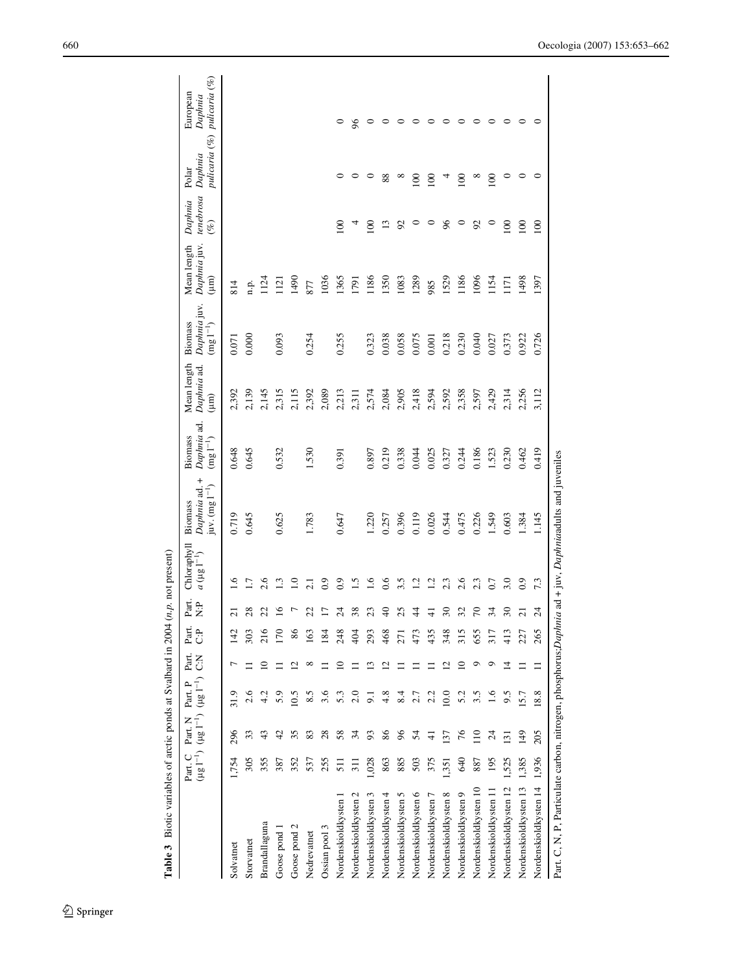| Table 3 Biotic variables of arctic ponds at Svalbard in 2004                                           |                 |                          |                                                                      |       |                 |                           | $(n.p.$ not present)              |                                                |                                                 |                                   |                                                            |                                    |                                |                                   |                                      |
|--------------------------------------------------------------------------------------------------------|-----------------|--------------------------|----------------------------------------------------------------------|-------|-----------------|---------------------------|-----------------------------------|------------------------------------------------|-------------------------------------------------|-----------------------------------|------------------------------------------------------------|------------------------------------|--------------------------------|-----------------------------------|--------------------------------------|
|                                                                                                        | Part. C         | Part. N                  | $( \mu g 1^{-1})$ $( \mu g 1^{-1})$ $( \mu g 1^{-1})$ C:N<br>Part. P | Part. | Part.<br>Ĉ      | Part.<br>$\ddot{\vec{z}}$ | Chloraphyll<br>$a (\mu g I^{-1})$ | Daphnia ad. +<br>juv. $(mg 1^{-1})$<br>Biomass | Daphnia ad.<br>Biomass<br>$(\rm{mg} \; l^{-1})$ | Mean length<br>Daphnia ad.<br>(um | Daphnia juv.<br>Biomass<br>$(\mathrm{mg}~\mathrm{I}^{-1})$ | Daphnia juv.<br>Mean length<br>(mm | tenebrosa<br>Daphnia<br>$(\%)$ | pulicaria (%)<br>Daphnia<br>Polar | pulicaria (%)<br>European<br>Daphnia |
| Solvatnet                                                                                              | 1,754           | 296                      | 31.9                                                                 |       | 142             | $\overline{\mathsf{c}}$   | $\tilde{6}$                       | 0.719                                          | 0.648                                           | 2,392                             | 0.071                                                      | 814                                |                                |                                   |                                      |
| Storvatnet                                                                                             | 305             | 33                       | 2.6                                                                  |       | 303             | 28                        | $\overline{1}$ .                  | 0.645                                          | 0.645                                           | 2,139                             | 0.000                                                      | n.p.                               |                                |                                   |                                      |
| Brandallaguna                                                                                          | 355             |                          |                                                                      |       | 216             | 22                        | 2.6                               |                                                |                                                 | 2,145                             |                                                            | 124                                |                                |                                   |                                      |
| Goose pond                                                                                             | 387             | A,                       | 5.9                                                                  |       | 170             | $\mathbf{\underline{s}}$  | $\frac{3}{2}$                     | 0.625                                          | 0.532                                           | 2,315                             | 0.093                                                      | $\overline{121}$                   |                                |                                   |                                      |
| Goose pond 2                                                                                           | 352             | 35                       | 10.5                                                                 |       | 86              |                           | $\overline{1.0}$                  |                                                |                                                 | 2,115                             |                                                            | 0671                               |                                |                                   |                                      |
| Nedrevatnet                                                                                            | 537             | 83                       | 8.5                                                                  |       | 163             | 22                        | $\overline{21}$                   | 1.783                                          | 1.530                                           | 2,392                             | 0.254                                                      | 877                                |                                |                                   |                                      |
| Ossian pool 3                                                                                          | 255             | 28                       | 3.6                                                                  |       | 184             |                           | 0.9                               |                                                |                                                 | 2,089                             |                                                            | 1036                               |                                |                                   |                                      |
| Nordenskioldkysten 1                                                                                   | $\overline{51}$ | 58                       | 5.3                                                                  |       | 248             | 24                        | $\overline{0}$ .                  | 0.647                                          | 0.391                                           | 2,213                             | 0.255                                                      | 1365                               | 100                            | 0                                 | 0                                    |
| Nordenskioldkysten 2                                                                                   | $\overline{11}$ | $\mathfrak{H}$           | 2.0                                                                  |       | $\frac{4}{9}$   | 38                        | $\tilde{c}$                       |                                                |                                                 | 2,311                             |                                                            | 1791                               |                                | 0                                 | $\delta$                             |
| Nordenskioldkysten 3                                                                                   | 1,028           | 93                       | 5                                                                    |       | 293             |                           | 1.6                               | 1.220                                          | 0.897                                           | 2,574                             | 0.323                                                      | 1186                               | 100                            | 0                                 |                                      |
| Nordenskioldkysten 4                                                                                   | 863             | 86                       | 4.8                                                                  |       | 468             | $\Theta$                  | 0.6                               | 0.257                                          | 0.219                                           | 2,084                             | 0.038                                                      | 1350                               | $\mathbf{r}$                   | 88                                |                                      |
| Nordenskioldkysten 5                                                                                   | 885             | 96                       | 8.4                                                                  |       | $\overline{27}$ | 25                        | 3.5                               | 0.396                                          | 0.338                                           | 2,905                             | 0.058                                                      | 1083                               | 92                             | $\infty$                          | っ                                    |
| Nordenskioldkysten 6                                                                                   | 503             | 24                       | 2.7                                                                  |       | 473             | 4                         | $\overline{12}$                   | 0.119                                          | 0.044                                           | 2,418                             | 0.075                                                      | 1289                               | $\circ$                        | $\overline{0}$                    | 0                                    |
| Nordenskioldkysten 7                                                                                   | 375             | ₹                        | 2.2                                                                  |       | 435             | ₹                         | $\overline{12}$                   | 0.026                                          | 0.025                                           | 2,594                             | 0.001                                                      | 985                                | $\circ$                        | 100                               | 0                                    |
| Nordenskioldkysten 8                                                                                   | 1,351           | 137                      | 10.0                                                                 |       | 348             | 30                        | 2.3                               | 0.544                                          | 0.327                                           | 2,592                             | 0.218                                                      | 1529                               | $\%$                           | 4                                 | 0                                    |
| Nordenskioldkysten 9                                                                                   | <b>940</b>      | 76                       | 5.2                                                                  |       | 315             | 32                        | 2.6                               | 0.475                                          | 0.244                                           | 2,358                             | 0.230                                                      | 1186                               | $\circ$                        | 100                               | 0                                    |
| Nordenskioldkysten 10                                                                                  | 887             | $\Xi$                    | 3.5                                                                  |       | 655             | 5                         | 2.3                               | 0.226                                          | 0.186                                           | 2,597                             | 0.040                                                      | 1096                               | 56                             | $\infty$                          | 0                                    |
| Nordenskioldkysten 11                                                                                  | 195             | $\overline{\mathcal{L}}$ | 1.6                                                                  |       | 317             | 34                        | 0.7                               | 1.549                                          | 1.523                                           | 2,429                             | 0.027                                                      | 1154                               | $\circ$                        | 100                               | ᅌ                                    |
| Nordenskioldkysten 12                                                                                  | 1,525           | 131                      | 9.5                                                                  |       | $\frac{3}{41}$  | $\overline{\mathcal{E}}$  | 3.0                               | 0.603                                          | 0.230                                           | 2,314                             | 0.373                                                      | $\overline{171}$                   | 100                            | $\circ$                           | ᅌ                                    |
| Nordenskioldkysten 13                                                                                  | 1.385           | 149                      | 15.7                                                                 |       | 227             | $\overline{z}$            | 0.9                               | 1.384                                          | 0.462                                           | 2,256                             | 0.922                                                      | 1498                               | 100                            | ᅌ                                 | 0                                    |
| Nordenskioldkysten 14                                                                                  | 1,936           | 205                      | 18.8                                                                 |       | 265             | $^{24}$                   | 7.3                               | 1.145                                          | 0.419                                           | 3,112                             | 0.726                                                      | 1397                               | 100                            | ∘                                 | ⊂                                    |
| Part. C, N, P, Particulate carbon, nitrogen, phosphorus; Daphnia ad + juv, Daphniaadults and juveniles |                 |                          |                                                                      |       |                 |                           |                                   |                                                |                                                 |                                   |                                                            |                                    |                                |                                   |                                      |

<span id="page-7-0"></span>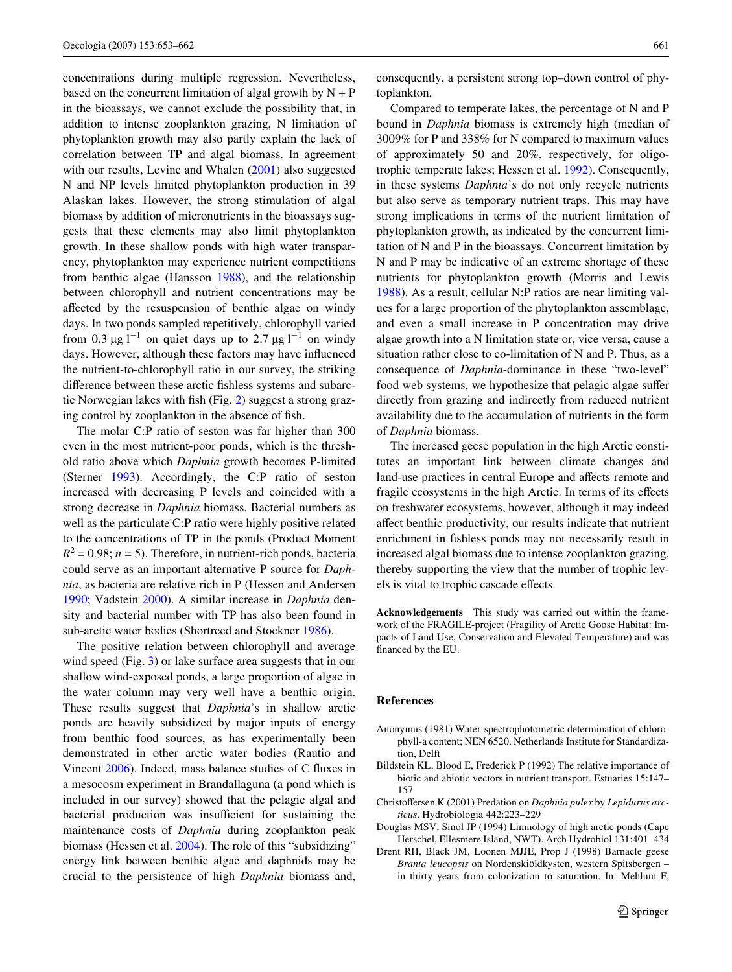concentrations during multiple regression. Nevertheless, based on the concurrent limitation of algal growth by  $N + P$ in the bioassays, we cannot exclude the possibility that, in addition to intense zooplankton grazing, N limitation of phytoplankton growth may also partly explain the lack of correlation between TP and algal biomass. In agreement with our results, Levine and Whalen ([2001\)](#page-9-27) also suggested N and NP levels limited phytoplankton production in 39 Alaskan lakes. However, the strong stimulation of algal biomass by addition of micronutrients in the bioassays suggests that these elements may also limit phytoplankton growth. In these shallow ponds with high water transparency, phytoplankton may experience nutrient competitions from benthic algae (Hansson [1988](#page-9-30)), and the relationship between chlorophyll and nutrient concentrations may be affected by the resuspension of benthic algae on windy days. In two ponds sampled repetitively, chlorophyll varied from 0.3  $\mu$ g l<sup>-1</sup> on quiet days up to 2.7  $\mu$ g l<sup>-1</sup> on windy days. However, although these factors may have influenced the nutrient-to-chlorophyll ratio in our survey, the striking difference between these arctic fishless systems and subarc-tic Norwegian lakes with fish (Fig. [2\)](#page-4-1) suggest a strong grazing control by zooplankton in the absence of fish.

The molar C:P ratio of seston was far higher than 300 even in the most nutrient-poor ponds, which is the threshold ratio above which *Daphnia* growth becomes P-limited (Sterner [1993](#page-9-31)). Accordingly, the C:P ratio of seston increased with decreasing P levels and coincided with a strong decrease in *Daphnia* biomass. Bacterial numbers as well as the particulate C:P ratio were highly positive related to the concentrations of TP in the ponds (Product Moment  $R^2 = 0.98$ ;  $n = 5$ ). Therefore, in nutrient-rich ponds, bacteria could serve as an important alternative P source for *Daphnia*, as bacteria are relative rich in P (Hessen and Andersen [1990](#page-9-32); Vadstein [2000\)](#page-9-33). A similar increase in *Daphnia* density and bacterial number with TP has also been found in sub-arctic water bodies (Shortreed and Stockner [1986\)](#page-9-8).

The positive relation between chlorophyll and average wind speed (Fig. [3\)](#page-4-2) or lake surface area suggests that in our shallow wind-exposed ponds, a large proportion of algae in the water column may very well have a benthic origin. These results suggest that *Daphnia*'s in shallow arctic ponds are heavily subsidized by major inputs of energy from benthic food sources, as has experimentally been demonstrated in other arctic water bodies (Rautio and Vincent [2006\)](#page-9-34). Indeed, mass balance studies of C fluxes in a mesocosm experiment in Brandallaguna (a pond which is included in our survey) showed that the pelagic algal and bacterial production was insufficient for sustaining the maintenance costs of *Daphnia* during zooplankton peak biomass (Hessen et al. [2004\)](#page-9-26). The role of this "subsidizing" energy link between benthic algae and daphnids may be crucial to the persistence of high *Daphnia* biomass and,

consequently, a persistent strong top–down control of phytoplankton.

Compared to temperate lakes, the percentage of N and P bound in *Daphnia* biomass is extremely high (median of 3009% for P and 338% for N compared to maximum values of approximately 50 and 20%, respectively, for oligotrophic temperate lakes; Hessen et al. [1992](#page-9-19)). Consequently, in these systems *Daphnia*'s do not only recycle nutrients but also serve as temporary nutrient traps. This may have strong implications in terms of the nutrient limitation of phytoplankton growth, as indicated by the concurrent limitation of N and P in the bioassays. Concurrent limitation by N and P may be indicative of an extreme shortage of these nutrients for phytoplankton growth (Morris and Lewis [1988](#page-9-22)). As a result, cellular N:P ratios are near limiting values for a large proportion of the phytoplankton assemblage, and even a small increase in P concentration may drive algae growth into a N limitation state or, vice versa, cause a situation rather close to co-limitation of N and P. Thus, as a consequence of *Daphnia*-dominance in these "two-level" food web systems, we hypothesize that pelagic algae suffer directly from grazing and indirectly from reduced nutrient availability due to the accumulation of nutrients in the form of *Daphnia* biomass.

The increased geese population in the high Arctic constitutes an important link between climate changes and land-use practices in central Europe and affects remote and fragile ecosystems in the high Arctic. In terms of its effects on freshwater ecosystems, however, although it may indeed affect benthic productivity, our results indicate that nutrient enrichment in fishless ponds may not necessarily result in increased algal biomass due to intense zooplankton grazing, thereby supporting the view that the number of trophic levels is vital to trophic cascade effects.

**Acknowledgements** This study was carried out within the framework of the FRAGILE-project (Fragility of Arctic Goose Habitat: Impacts of Land Use, Conservation and Elevated Temperature) and was financed by the EU.

#### **References**

- <span id="page-8-3"></span>Anonymus (1981) Water-spectrophotometric determination of chlorophyll-a content; NEN 6520. Netherlands Institute for Standardization, Delft
- <span id="page-8-0"></span>Bildstein KL, Blood E, Frederick P (1992) The relative importance of biotic and abiotic vectors in nutrient transport. Estuaries 15:147– 157
- <span id="page-8-4"></span>Christoffersen K (2001) Predation on *Daphnia pulex* by *Lepidurus arcticus*. Hydrobiologia 442:223–229
- <span id="page-8-1"></span>Douglas MSV, Smol JP (1994) Limnology of high arctic ponds (Cape Herschel, Ellesmere Island, NWT). Arch Hydrobiol 131:401–434
- <span id="page-8-2"></span>Drent RH, Black JM, Loonen MJJE, Prop J (1998) Barnacle geese *Branta leucopsis* on Nordenskiöldkysten, western Spitsbergen – in thirty years from colonization to saturation. In: Mehlum F,